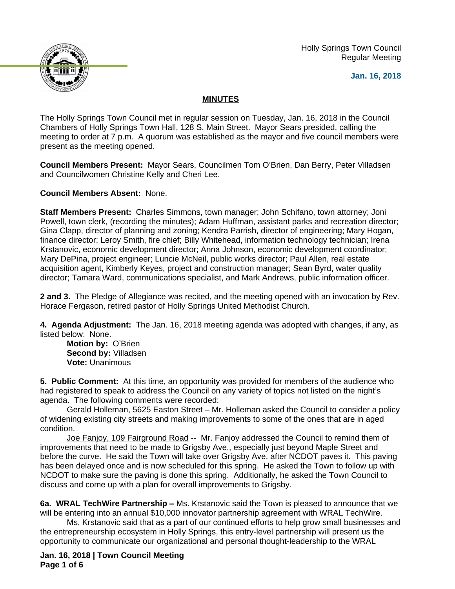Holly Springs Town Council Regular Meeting





## **MINUTES**

The Holly Springs Town Council met in regular session on Tuesday, Jan. 16, 2018 in the Council Chambers of Holly Springs Town Hall, 128 S. Main Street. Mayor Sears presided, calling the meeting to order at 7 p.m. A quorum was established as the mayor and five council members were present as the meeting opened.

**Council Members Present:** Mayor Sears, Councilmen Tom O'Brien, Dan Berry, Peter Villadsen and Councilwomen Christine Kelly and Cheri Lee.

**Council Members Absent:** None.

**Staff Members Present:** Charles Simmons, town manager; John Schifano, town attorney; Joni Powell, town clerk, (recording the minutes); Adam Huffman, assistant parks and recreation director; Gina Clapp, director of planning and zoning; Kendra Parrish, director of engineering; Mary Hogan, finance director; Leroy Smith, fire chief; Billy Whitehead, information technology technician; Irena Krstanovic, economic development director; Anna Johnson, economic development coordinator; Mary DePina, project engineer; Luncie McNeil, public works director; Paul Allen, real estate acquisition agent, Kimberly Keyes, project and construction manager; Sean Byrd, water quality director; Tamara Ward, communications specialist, and Mark Andrews, public information officer.

**2 and 3.** The Pledge of Allegiance was recited, and the meeting opened with an invocation by Rev. Horace Fergason, retired pastor of Holly Springs United Methodist Church.

**4. Agenda Adjustment:** The Jan. 16, 2018 meeting agenda was adopted with changes, if any, as listed below: None.

**Motion by:** O'Brien **Second by:** Villadsen **Vote:** Unanimous

**5. Public Comment:** At this time, an opportunity was provided for members of the audience who had registered to speak to address the Council on any variety of topics not listed on the night's agenda. The following comments were recorded:

Gerald Holleman, 5625 Easton Street – Mr. Holleman asked the Council to consider a policy of widening existing city streets and making improvements to some of the ones that are in aged condition.

Joe Fanjoy, 109 Fairground Road -- Mr. Fanjoy addressed the Council to remind them of improvements that need to be made to Grigsby Ave., especially just beyond Maple Street and before the curve. He said the Town will take over Grigsby Ave. after NCDOT paves it. This paving has been delayed once and is now scheduled for this spring. He asked the Town to follow up with NCDOT to make sure the paving is done this spring. Additionally, he asked the Town Council to discuss and come up with a plan for overall improvements to Grigsby.

**6a. WRAL TechWire Partnership –** Ms. Krstanovic said the Town is pleased to announce that we will be entering into an annual \$10,000 innovator partnership agreement with WRAL TechWire.

Ms. Krstanovic said that as a part of our continued efforts to help grow small businesses and the entrepreneurship ecosystem in Holly Springs, this entry-level partnership will present us the opportunity to communicate our organizational and personal thought-leadership to the WRAL

**Jan. 16, 2018 | Town Council Meeting Page 1 of 6**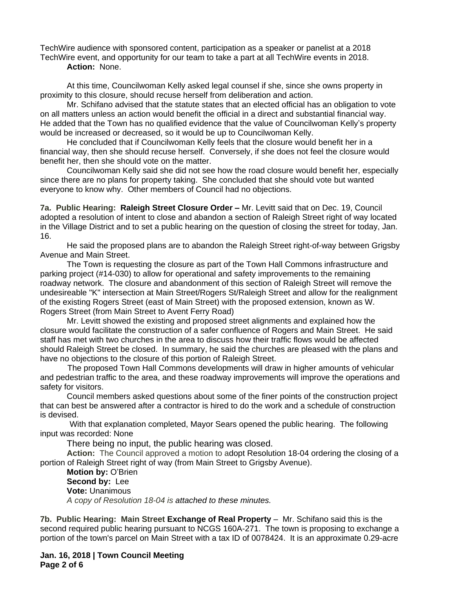TechWire audience with sponsored content, participation as a speaker or panelist at a 2018 TechWire event, and opportunity for our team to take a part at all TechWire events in 2018. **Action:** None.

At this time, Councilwoman Kelly asked legal counsel if she, since she owns property in proximity to this closure, should recuse herself from deliberation and action.

Mr. Schifano advised that the statute states that an elected official has an obligation to vote on all matters unless an action would benefit the official in a direct and substantial financial way. He added that the Town has no qualified evidence that the value of Councilwoman Kelly's property would be increased or decreased, so it would be up to Councilwoman Kelly.

He concluded that if Councilwoman Kelly feels that the closure would benefit her in a financial way, then she should recuse herself. Conversely, if she does not feel the closure would benefit her, then she should vote on the matter.

Councilwoman Kelly said she did not see how the road closure would benefit her, especially since there are no plans for property taking. She concluded that she should vote but wanted everyone to know why. Other members of Council had no objections.

**7a. Public Hearing: Raleigh Street Closure Order –** Mr. Levitt said that on Dec. 19, Council adopted a resolution of intent to close and abandon a section of Raleigh Street right of way located in the Village District and to set a public hearing on the question of closing the street for today, Jan. 16.

He said the proposed plans are to abandon the Raleigh Street right-of-way between Grigsby Avenue and Main Street.

The Town is requesting the closure as part of the Town Hall Commons infrastructure and parking project (#14-030) to allow for operational and safety improvements to the remaining roadway network. The closure and abandonment of this section of Raleigh Street will remove the undesireable "K" intersection at Main Street/Rogers St/Raleigh Street and allow for the realignment of the existing Rogers Street (east of Main Street) with the proposed extension, known as W. Rogers Street (from Main Street to Avent Ferry Road)

Mr. Levitt showed the existing and proposed street alignments and explained how the closure would facilitate the construction of a safer confluence of Rogers and Main Street. He said staff has met with two churches in the area to discuss how their traffic flows would be affected should Raleigh Street be closed. In summary, he said the churches are pleased with the plans and have no objections to the closure of this portion of Raleigh Street.

 The proposed Town Hall Commons developments will draw in higher amounts of vehicular and pedestrian traffic to the area, and these roadway improvements will improve the operations and safety for visitors.

Council members asked questions about some of the finer points of the construction project that can best be answered after a contractor is hired to do the work and a schedule of construction is devised.

With that explanation completed, Mayor Sears opened the public hearing. The following input was recorded: None

There being no input, the public hearing was closed.

**Action:** The Council approved a motion to adopt Resolution 18-04 ordering the closing of a portion of Raleigh Street right of way (from Main Street to Grigsby Avenue).

**Motion by:** O'Brien **Second by:** Lee **Vote:** Unanimous *A copy of Resolution 18-04 is attached to these minutes.*

**7b. Public Hearing: Main Street Exchange of Real Property** – Mr. Schifano said this is the second required public hearing pursuant to NCGS 160A-271. The town is proposing to exchange a portion of the town's parcel on Main Street with a tax ID of 0078424. It is an approximate 0.29-acre

**Jan. 16, 2018 | Town Council Meeting Page 2 of 6**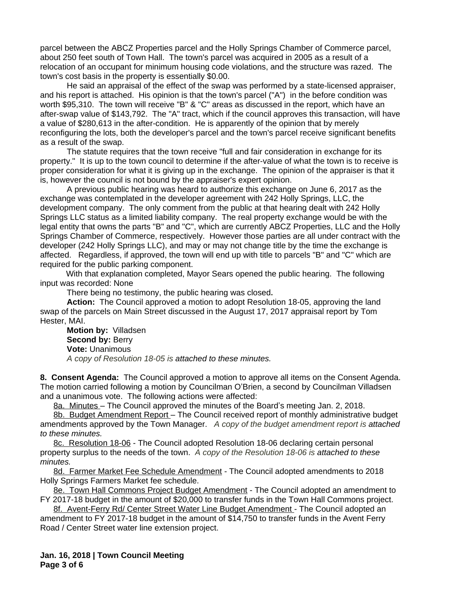parcel between the ABCZ Properties parcel and the Holly Springs Chamber of Commerce parcel, about 250 feet south of Town Hall. The town's parcel was acquired in 2005 as a result of a relocation of an occupant for minimum housing code violations, and the structure was razed. The town's cost basis in the property is essentially \$0.00.

He said an appraisal of the effect of the swap was performed by a state-licensed appraiser, and his report is attached. His opinion is that the town's parcel ("A") in the before condition was worth \$95,310. The town will receive "B" & "C" areas as discussed in the report, which have an after-swap value of \$143,792. The "A" tract, which if the council approves this transaction, will have a value of \$280,613 in the after-condition. He is apparently of the opinion that by merely reconfiguring the lots, both the developer's parcel and the town's parcel receive significant benefits as a result of the swap.

The statute requires that the town receive "full and fair consideration in exchange for its property." It is up to the town council to determine if the after-value of what the town is to receive is proper consideration for what it is giving up in the exchange. The opinion of the appraiser is that it is, however the council is not bound by the appraiser's expert opinion.

A previous public hearing was heard to authorize this exchange on June 6, 2017 as the exchange was contemplated in the developer agreement with 242 Holly Springs, LLC, the development company. The only comment from the public at that hearing dealt with 242 Holly Springs LLC status as a limited liability company. The real property exchange would be with the legal entity that owns the parts "B" and "C", which are currently ABCZ Properties, LLC and the Holly Springs Chamber of Commerce, respectively. However those parties are all under contract with the developer (242 Holly Springs LLC), and may or may not change title by the time the exchange is affected. Regardless, if approved, the town will end up with title to parcels "B" and "C" which are required for the public parking component.

With that explanation completed, Mayor Sears opened the public hearing. The following input was recorded: None

There being no testimony, the public hearing was closed**.**

**Action:** The Council approved a motion to adopt Resolution 18-05, approving the land swap of the parcels on Main Street discussed in the August 17, 2017 appraisal report by Tom Hester, MAI.

**Motion by:** Villadsen **Second by: Berry Vote:** Unanimous *A copy of Resolution 18-05 is attached to these minutes.*

**8. Consent Agenda:** The Council approved a motion to approve all items on the Consent Agenda. The motion carried following a motion by Councilman O'Brien, a second by Councilman Villadsen and a unanimous vote. The following actions were affected:

8a. Minutes – The Council approved the minutes of the Board's meeting Jan. 2, 2018.

8b. Budget Amendment Report – The Council received report of monthly administrative budget amendments approved by the Town Manager.*A copy of the budget amendment report is attached to these minutes.*

8c. Resolution 18-06 - The Council adopted Resolution 18-06 declaring certain personal property surplus to the needs of the town. *A copy of the Resolution 18-06 is attached to these minutes.*

8d. Farmer Market Fee Schedule Amendment - The Council adopted amendments to 2018 Holly Springs Farmers Market fee schedule.

8e. Town Hall Commons Project Budget Amendment - The Council adopted an amendment to FY 2017-18 budget in the amount of \$20,000 to transfer funds in the Town Hall Commons project.

8f. Avent-Ferry Rd/ Center Street Water Line Budget Amendment - The Council adopted an amendment to FY 2017-18 budget in the amount of \$14,750 to transfer funds in the Avent Ferry Road / Center Street water line extension project.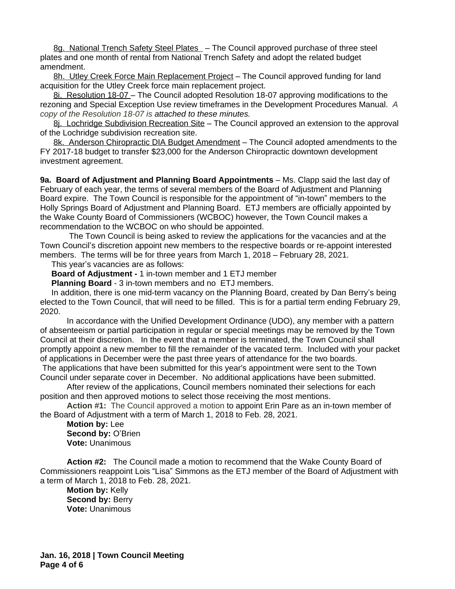8g. National Trench Safety Steel Plates - The Council approved purchase of three steel plates and one month of rental from National Trench Safety and adopt the related budget amendment.

8h. Utley Creek Force Main Replacement Project – The Council approved funding for land acquisition for the Utley Creek force main replacement project.

8i. Resolution 18-07 – The Council adopted Resolution 18-07 approving modifications to the rezoning and Special Exception Use review timeframes in the Development Procedures Manual. *A copy of the Resolution 18-07 is attached to these minutes.*

8j. Lochridge Subdivision Recreation Site – The Council approved an extension to the approval of the Lochridge subdivision recreation site.

8k. Anderson Chiropractic DIA Budget Amendment - The Council adopted amendments to the FY 2017-18 budget to transfer \$23,000 for the Anderson Chiropractic downtown development investment agreement.

**9a. Board of Adjustment and Planning Board Appointments** – Ms. Clapp said the last day of February of each year, the terms of several members of the Board of Adjustment and Planning Board expire. The Town Council is responsible for the appointment of "in-town" members to the Holly Springs Board of Adjustment and Planning Board. ETJ members are officially appointed by the Wake County Board of Commissioners (WCBOC) however, the Town Council makes a recommendation to the WCBOC on who should be appointed.

 The Town Council is being asked to review the applications for the vacancies and at the Town Council's discretion appoint new members to the respective boards or re-appoint interested members. The terms will be for three years from March 1, 2018 – February 28, 2021.

This year's vacancies are as follows:

**Board of Adjustment -** 1 in-town member and 1 ETJ member

**Planning Board** - 3 in-town members and no ETJ members.

 In addition, there is one mid-term vacancy on the Planning Board, created by Dan Berry's being elected to the Town Council, that will need to be filled. This is for a partial term ending February 29, 2020.

 In accordance with the Unified Development Ordinance (UDO), any member with a pattern of absenteeism or partial participation in regular or special meetings may be removed by the Town Council at their discretion. In the event that a member is terminated, the Town Council shall promptly appoint a new member to fill the remainder of the vacated term. Included with your packet of applications in December were the past three years of attendance for the two boards.

The applications that have been submitted for this year's appointment were sent to the Town Council under separate cover in December. No additional applications have been submitted.

After review of the applications, Council members nominated their selections for each position and then approved motions to select those receiving the most mentions.

**Action #1:** The Council approved a motion to appoint Erin Pare as an in-town member of the Board of Adjustment with a term of March 1, 2018 to Feb. 28, 2021.

**Motion by:** Lee **Second by:** O'Brien **Vote:** Unanimous

**Action #2:** The Council made a motion to recommend that the Wake County Board of Commissioners reappoint Lois "Lisa" Simmons as the ETJ member of the Board of Adjustment with a term of March 1, 2018 to Feb. 28, 2021.

**Motion by:** Kelly **Second by: Berry Vote:** Unanimous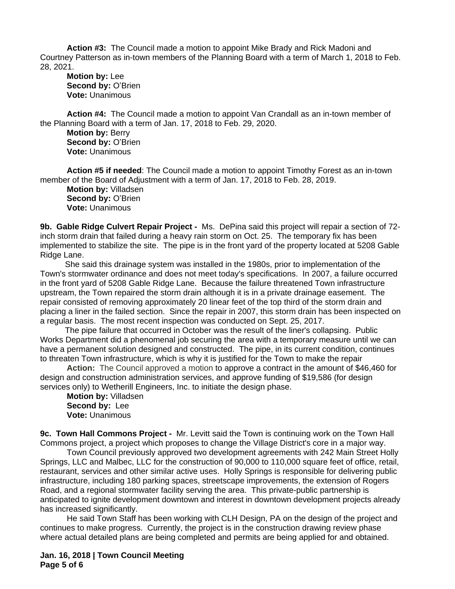**Action #3:** The Council made a motion to appoint Mike Brady and Rick Madoni and Courtney Patterson as in-town members of the Planning Board with a term of March 1, 2018 to Feb. 28, 2021.

**Motion by:** Lee **Second by:** O'Brien **Vote:** Unanimous

**Action #4:** The Council made a motion to appoint Van Crandall as an in-town member of the Planning Board with a term of Jan. 17, 2018 to Feb. 29, 2020.

**Motion by:** Berry **Second by:** O'Brien **Vote:** Unanimous

**Action #5 if needed**: The Council made a motion to appoint Timothy Forest as an in-town member of the Board of Adjustment with a term of Jan. 17, 2018 to Feb. 28, 2019.

**Motion by:** Villadsen **Second by:** O'Brien **Vote:** Unanimous

**9b. Gable Ridge Culvert Repair Project -** Ms. DePina said this project will repair a section of 72 inch storm drain that failed during a heavy rain storm on Oct. 25. The temporary fix has been implemented to stabilize the site. The pipe is in the front yard of the property located at 5208 Gable Ridge Lane.

 She said this drainage system was installed in the 1980s, prior to implementation of the Town's stormwater ordinance and does not meet today's specifications. In 2007, a failure occurred in the front yard of 5208 Gable Ridge Lane. Because the failure threatened Town infrastructure upstream, the Town repaired the storm drain although it is in a private drainage easement. The repair consisted of removing approximately 20 linear feet of the top third of the storm drain and placing a liner in the failed section. Since the repair in 2007, this storm drain has been inspected on a regular basis. The most recent inspection was conducted on Sept. 25, 2017.

 The pipe failure that occurred in October was the result of the liner's collapsing. Public Works Department did a phenomenal job securing the area with a temporary measure until we can have a permanent solution designed and constructed. The pipe, in its current condition, continues to threaten Town infrastructure, which is why it is justified for the Town to make the repair

**Action:** The Council approved a motion to approve a contract in the amount of \$46,460 for design and construction administration services, and approve funding of \$19,586 (for design services only) to Wetherill Engineers, Inc. to initiate the design phase.

**Motion by:** Villadsen **Second by:** Lee **Vote:** Unanimous

**9c. Town Hall Commons Project -** Mr. Levitt said the Town is continuing work on the Town Hall Commons project, a project which proposes to change the Village District's core in a major way.

Town Council previously approved two development agreements with 242 Main Street Holly Springs, LLC and Malbec, LLC for the construction of 90,000 to 110,000 square feet of office, retail, restaurant, services and other similar active uses. Holly Springs is responsible for delivering public infrastructure, including 180 parking spaces, streetscape improvements, the extension of Rogers Road, and a regional stormwater facility serving the area. This private-public partnership is anticipated to ignite development downtown and interest in downtown development projects already has increased significantly.

He said Town Staff has been working with CLH Design, PA on the design of the project and continues to make progress. Currently, the project is in the construction drawing review phase where actual detailed plans are being completed and permits are being applied for and obtained.

**Jan. 16, 2018 | Town Council Meeting Page 5 of 6**